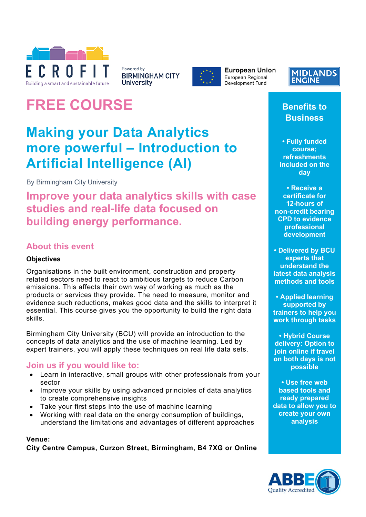

Powered by **BIRMINGHAM CITY University** 



**European Union** European Regional Development Fund

### **MIDLANDS ENGINE**

# **FREE COURSE**

## **Making your Data Analytics more powerful – Introduction to Artificial Intelligence (AI)**

By Birmingham City University

**Improve your data analytics skills with case studies and real-life data focused on building energy performance.**

### **About this event**

### **Objectives**

Organisations in the built environment, construction and property related sectors need to react to ambitious targets to reduce Carbon emissions. This affects their own way of working as much as the products or services they provide. The need to measure, monitor and evidence such reductions, makes good data and the skills to interpret it essential. This course gives you the opportunity to build the right data skills.

Birmingham City University (BCU) will provide an introduction to the concepts of data analytics and the use of machine learning. Led by expert trainers, you will apply these techniques on real life data sets.

### **Join us if you would like to:**

- Learn in interactive, small groups with other professionals from your sector
- Improve your skills by using advanced principles of data analytics to create comprehensive insights
- Take your first steps into the use of machine learning
- Working with real data on the energy consumption of buildings, understand the limitations and advantages of different approaches

#### **Venue:**

**City Centre Campus, Curzon Street, Birmingham, B4 7XG or Online**

**Benefits to Business**

**• Fully funded course; refreshments included on the day**

**• Receive a certificate for 12-hours of non-credit bearing CPD to evidence professional development**

**• Delivered by BCU experts that understand the latest data analysis methods and tools**

**• Applied learning supported by trainers to help you work through tasks**

**• Hybrid Course delivery: Option to join online if travel on both days is not possible**

**• Use free web based tools and ready prepared data to allow you to create your own analysis**